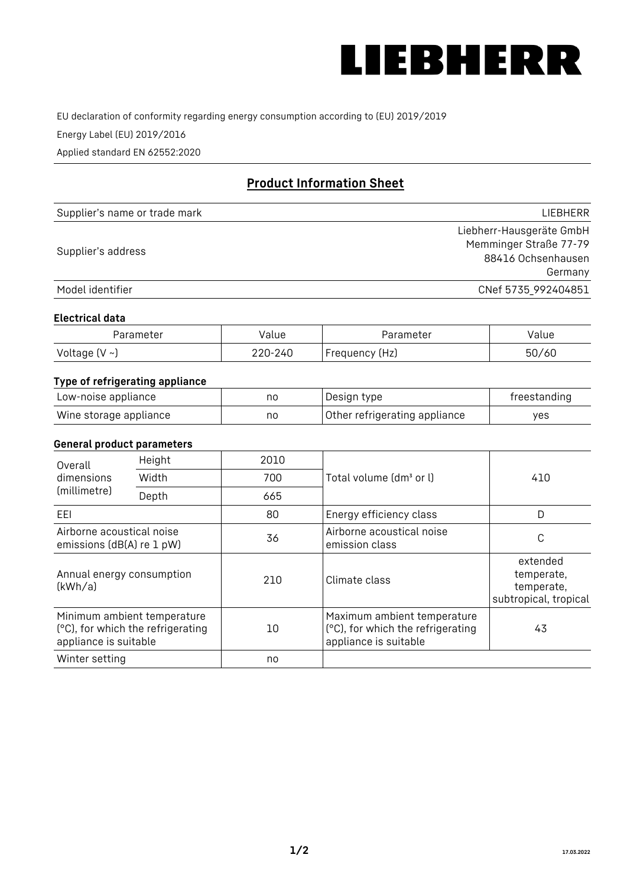

EU declaration of conformity regarding energy consumption according to (EU) 2019/2019

Energy Label (EU) 2019/2016

Applied standard EN 62552:2020

# **Product Information Sheet**

| Supplier's name or trade mark | <b>LIFBHFRR</b>          |
|-------------------------------|--------------------------|
|                               | Liebherr-Hausgeräte GmbH |
| Supplier's address            | Memminger Straße 77-79   |
|                               | 88416 Ochsenhausen       |
|                               | Germany                  |
| Model identifier              | CNef 5735_992404851      |

#### **Electrical data**

| Parameter          | Value   | Parameter       | Value |
|--------------------|---------|-----------------|-------|
| Voltage $(V \sim)$ | 220-240 | 'Frequency (Hz) | 50/60 |

## **Type of refrigerating appliance**

| Low-noise appliance    | nc | Design type                   | freestanding |
|------------------------|----|-------------------------------|--------------|
| Wine storage appliance | nc | Other refrigerating appliance | ves          |

#### **General product parameters**

| Height<br>Overall                                      |                                                                  | 2010 |                                                                                           |                                                               |
|--------------------------------------------------------|------------------------------------------------------------------|------|-------------------------------------------------------------------------------------------|---------------------------------------------------------------|
| dimensions<br>(millimetre)                             | Width                                                            | 700  | Total volume (dm <sup>3</sup> or l)                                                       | 410                                                           |
|                                                        | Depth                                                            | 665  |                                                                                           |                                                               |
| EEL                                                    |                                                                  | 80   | Energy efficiency class                                                                   | D                                                             |
| Airborne acoustical noise<br>emissions (dB(A) re 1 pW) |                                                                  | 36   | Airborne acoustical noise<br>emission class                                               | С                                                             |
| Annual energy consumption<br>(kWh/a)                   |                                                                  | 210  | Climate class                                                                             | extended<br>temperate,<br>temperate,<br>subtropical, tropical |
| appliance is suitable                                  | Minimum ambient temperature<br>(°C), for which the refrigerating | 10   | Maximum ambient temperature<br>(°C), for which the refrigerating<br>appliance is suitable | 43                                                            |
| Winter setting                                         |                                                                  | no   |                                                                                           |                                                               |